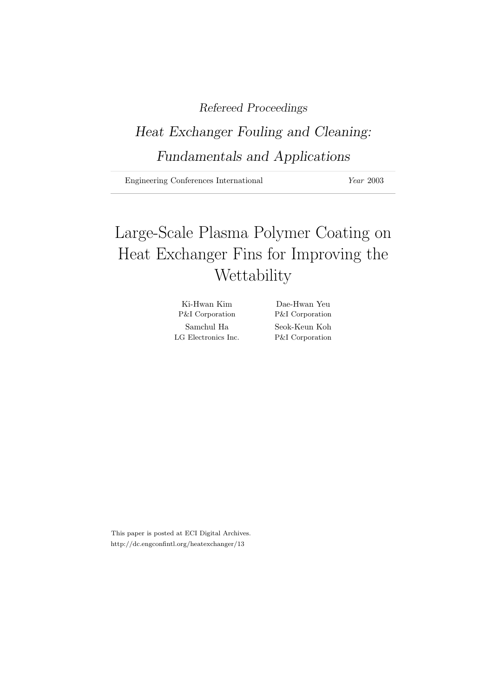### Refereed Proceedings

## Heat Exchanger Fouling and Cleaning: Fundamentals and Applications

Engineering Conferences International Year 2003

# Large-Scale Plasma Polymer Coating on Heat Exchanger Fins for Improving the **Wettability**

| Ki-Hwan Kim                | Dae-Hwan Yeu               |
|----------------------------|----------------------------|
| <b>P&amp;I</b> Corporation | <b>P&amp;I</b> Corporation |
| Samchul Ha                 | Seok-Keun Koh              |
| LG Electronics Inc.        | P&I Corporation            |

This paper is posted at ECI Digital Archives. http://dc.engconfintl.org/heatexchanger/13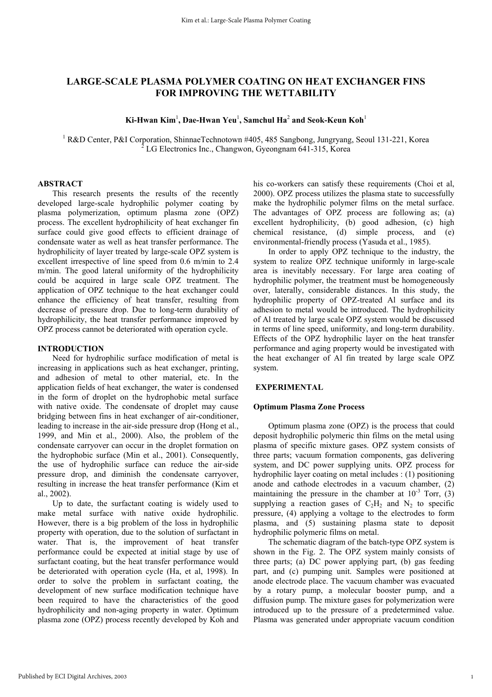### **LARGE-SCALE PLASMA POLYMER COATING ON HEAT EXCHANGER FINS FOR IMPROVING THE WETTABILITY**

#### $\mathbf{Ki}\text{-}\mathbf{Hwan Kim}^1$ , Dae-Hwan Yeu<sup>1</sup>, Samchul Ha $^2$  and Seok-Keun Koh $^1$

<sup>1</sup> R&D Center, P&I Corporation, ShinnaeTechnotown #405, 485 Sangbong, Jungryang, Seoul 131-221, Korea  $^2$  LG Electronics Inc., Changwon, Gyeongnam 641-315, Korea

#### **ABSTRACT**

This research presents the results of the recently developed large-scale hydrophilic polymer coating by plasma polymerization, optimum plasma zone (OPZ) process. The excellent hydrophilicity of heat exchanger fin surface could give good effects to efficient drainage of condensate water as well as heat transfer performance. The hydrophilicity of layer treated by large-scale OPZ system is excellent irrespective of line speed from 0.6 m/min to 2.4 m/min. The good lateral uniformity of the hydrophilicity could be acquired in large scale OPZ treatment. The application of OPZ technique to the heat exchanger could enhance the efficiency of heat transfer, resulting from decrease of pressure drop. Due to long-term durability of hydrophilicity, the heat transfer performance improved by OPZ process cannot be deteriorated with operation cycle.

#### **INTRODUCTION**

Need for hydrophilic surface modification of metal is increasing in applications such as heat exchanger, printing, and adhesion of metal to other material, etc. In the application fields of heat exchanger, the water is condensed in the form of droplet on the hydrophobic metal surface with native oxide. The condensate of droplet may cause bridging between fins in heat exchanger of air-conditioner, leading to increase in the air-side pressure drop (Hong et al., 1999, and Min et al., 2000). Also, the problem of the condensate carryover can occur in the droplet formation on the hydrophobic surface (Min et al., 2001). Consequently, the use of hydrophilic surface can reduce the air-side pressure drop, and diminish the condensate carryover, resulting in increase the heat transfer performance (Kim et al., 2002).

Up to date, the surfactant coating is widely used to make metal surface with native oxide hydrophilic. However, there is a big problem of the loss in hydrophilic property with operation, due to the solution of surfactant in water. That is, the improvement of heat transfer performance could be expected at initial stage by use of surfactant coating, but the heat transfer performance would be deteriorated with operation cycle (Ha, et al, 1998). In order to solve the problem in surfactant coating, the development of new surface modification technique have been required to have the characteristics of the good hydrophilicity and non-aging property in water. Optimum plasma zone (OPZ) process recently developed by Koh and

his co-workers can satisfy these requirements (Choi et al. 2000). OPZ process utilizes the plasma state to successfully make the hydrophilic polymer films on the metal surface. The advantages of OPZ process are following as; (a) excellent hydrophilicity, (b) good adhesion, (c) high chemical resistance, (d) simple process, and (e) environmental-friendly process (Yasuda et al., 1985).

In order to apply OPZ technique to the industry, the system to realize OPZ technique uniformly in large-scale area is inevitably necessary. For large area coating of hydrophilic polymer, the treatment must be homogeneously over, laterally, considerable distances. In this study, the hydrophilic property of OPZ-treated Al surface and its adhesion to metal would be introduced. The hydrophilicity of Al treated by large scale OPZ system would be discussed in terms of line speed, uniformity, and long-term durability. Effects of the OPZ hydrophilic layer on the heat transfer performance and aging property would be investigated with the heat exchanger of Al fin treated by large scale OPZ system.

#### **EXPERIMENTAL**

#### **Optimum Plasma Zone Process**

Optimum plasma zone (OPZ) is the process that could deposit hydrophilic polymeric thin films on the metal using plasma of specific mixture gases. OPZ system consists of three parts; vacuum formation components, gas delivering system, and DC power supplying units. OPZ process for hydrophilic layer coating on metal includes : (1) positioning anode and cathode electrodes in a vacuum chamber, (2) maintaining the pressure in the chamber at  $10^{-3}$  Torr,  $(3)$ supplying a reaction gases of  $C_2H_2$  and N<sub>2</sub> to specific pressure, (4) applying a voltage to the electrodes to form plasma, and (5) sustaining plasma state to deposit hydrophilic polymeric films on metal.

The schematic diagram of the batch-type OPZ system is shown in the Fig. 2. The OPZ system mainly consists of three parts; (a) DC power applying part, (b) gas feeding part, and (c) pumping unit. Samples were positioned at anode electrode place. The vacuum chamber was evacuated by a rotary pump, a molecular booster pump, and a diffusion pump. The mixture gases for polymerization were introduced up to the pressure of a predetermined value. Plasma was generated under appropriate vacuum condition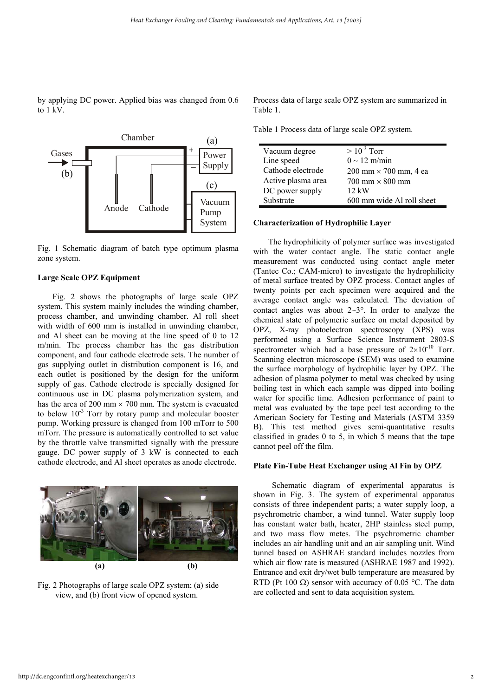by applying DC power. Applied bias was changed from 0.6 to 1 kV.



Fig. 1 Schematic diagram of batch type optimum plasma zone system.

#### **Large Scale OPZ Equipment**

Fig. 2 shows the photographs of large scale OPZ system. This system mainly includes the winding chamber, process chamber, and unwinding chamber. Al roll sheet with width of 600 mm is installed in unwinding chamber, and Al sheet can be moving at the line speed of 0 to 12 m/min. The process chamber has the gas distribution component, and four cathode electrode sets. The number of gas supplying outlet in distribution component is 16, and each outlet is positioned by the design for the uniform supply of gas. Cathode electrode is specially designed for continuous use in DC plasma polymerization system, and has the area of 200 mm  $\times$  700 mm. The system is evacuated to below  $10^{-3}$  Torr by rotary pump and molecular booster pump. Working pressure is changed from 100 mTorr to 500 mTorr. The pressure is automatically controlled to set value by the throttle valve transmitted signally with the pressure gauge. DC power supply of 3 kW is connected to each cathode electrode, and Al sheet operates as anode electrode.



Fig. 2 Photographs of large scale OPZ system; (a) side view, and (b) front view of opened system.

Process data of large scale OPZ system are summarized in Table 1.

Table 1 Process data of large scale OPZ system.

| Vacuum degree      | $>10^{-3}$ Torr                               |
|--------------------|-----------------------------------------------|
| Line speed         | $0 \sim 12$ m/min                             |
| Cathode electrode  | $200 \text{ mm} \times 700 \text{ mm}$ , 4 ea |
| Active plasma area | $700$ mm $\times$ 800 mm                      |
| DC power supply    | $12 \text{ kW}$                               |
| Substrate          | 600 mm wide Al roll sheet                     |

#### **Characterization of Hydrophilic Layer**

The hydrophilicity of polymer surface was investigated with the water contact angle. The static contact angle measurement was conducted using contact angle meter (Tantec Co.; CAM-micro) to investigate the hydrophilicity of metal surface treated by OPZ process. Contact angles of twenty points per each specimen were acquired and the average contact angle was calculated. The deviation of contact angles was about  $2\sim3^{\circ}$ . In order to analyze the chemical state of polymeric surface on metal deposited by OPZ, X-ray photoelectron spectroscopy (XPS) was performed using a Surface Science Instrument 2803-S spectrometer which had a base pressure of  $2\times10^{-10}$  Torr. Scanning electron microscope (SEM) was used to examine the surface morphology of hydrophilic layer by OPZ. The adhesion of plasma polymer to metal was checked by using boiling test in which each sample was dipped into boiling water for specific time. Adhesion performance of paint to metal was evaluated by the tape peel test according to the American Society for Testing and Materials (ASTM 3359 B). This test method gives semi-quantitative results classified in grades 0 to 5, in which 5 means that the tape cannot peel off the film.

#### **Plate Fin-Tube Heat Exchanger using Al Fin by OPZ**

 Schematic diagram of experimental apparatus is shown in Fig. 3. The system of experimental apparatus consists of three independent parts; a water supply loop, a psychrometric chamber, a wind tunnel. Water supply loop has constant water bath, heater, 2HP stainless steel pump, and two mass flow metes. The psychrometric chamber includes an air handling unit and an air sampling unit. Wind tunnel based on ASHRAE standard includes nozzles from which air flow rate is measured (ASHRAE 1987 and 1992). Entrance and exit dry/wet bulb temperature are measured by RTD (Pt 100  $\Omega$ ) sensor with accuracy of 0.05 °C. The data are collected and sent to data acquisition system.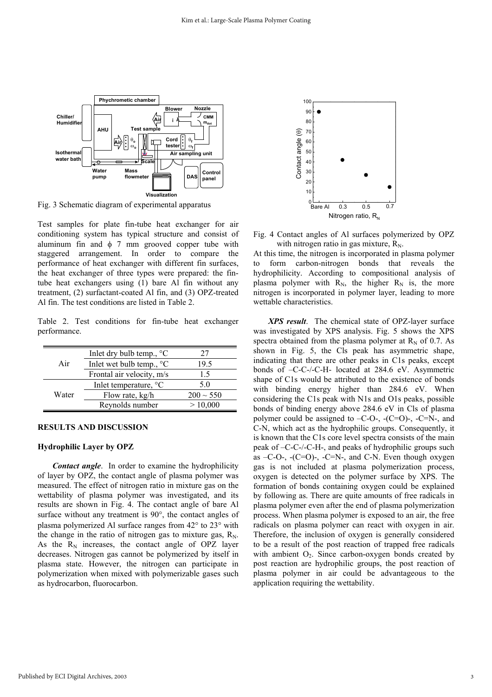

Fig. 3 Schematic diagram of experimental apparatus

Test samples for plate fin-tube heat exchanger for air conditioning system has typical structure and consist of aluminum fin and  $\phi$  7 mm grooved copper tube with staggered arrangement. In order to compare the performance of heat exchanger with different fin surfaces, the heat exchanger of three types were prepared: the fintube heat exchangers using (1) bare Al fin without any treatment, (2) surfactant-coated Al fin, and (3) OPZ-treated Al fin. The test conditions are listed in Table 2.

Table 2. Test conditions for fin-tube heat exchanger performance.

|       | Inlet dry bulb temp., $\degree$ C | 27             |
|-------|-----------------------------------|----------------|
| Air   | Inlet wet bulb temp., $\degree$ C | 19.5           |
|       | Frontal air velocity, m/s         | 1.5            |
| Water | Inlet temperature, °C             | 50             |
|       | Flow rate, kg/h                   | $200 \sim 550$ |
|       | Reynolds number                   | > 10,000       |

#### **RESULTS AND DISCUSSION**

#### **Hydrophilic Layer by OPZ**

*Contact angle*. In order to examine the hydrophilicity of layer by OPZ, the contact angle of plasma polymer was measured. The effect of nitrogen ratio in mixture gas on the wettability of plasma polymer was investigated, and its results are shown in Fig. 4. The contact angle of bare Al surface without any treatment is 90°, the contact angles of plasma polymerized Al surface ranges from 42° to 23° with the change in the ratio of nitrogen gas to mixture gas,  $R_N$ . As the  $R_N$  increases, the contact angle of OPZ layer decreases. Nitrogen gas cannot be polymerized by itself in plasma state. However, the nitrogen can participate in polymerization when mixed with polymerizable gases such as hydrocarbon, fluorocarbon.



Fig. 4 Contact angles of Al surfaces polymerized by OPZ with nitrogen ratio in gas mixture,  $R_N$ .

At this time, the nitrogen is incorporated in plasma polymer to form carbon-nitrogen bonds that reveals the hydrophilicity. According to compositional analysis of plasma polymer with  $R_N$ , the higher  $R_N$  is, the more nitrogen is incorporated in polymer layer, leading to more wettable characteristics.

*XPS result*. The chemical state of OPZ-layer surface was investigated by XPS analysis. Fig. 5 shows the XPS spectra obtained from the plasma polymer at  $R_N$  of 0.7. As shown in Fig. 5, the Cls peak has asymmetric shape, indicating that there are other peaks in C1s peaks, except bonds of –C-C-/-C-H- located at 284.6 eV. Asymmetric shape of C1s would be attributed to the existence of bonds with binding energy higher than 284.6 eV. When considering the C1s peak with N1s and O1s peaks, possible bonds of binding energy above 284.6 eV in Cls of plasma polymer could be assigned to  $-C-O$ -,  $-C=O$ )-,  $-C=N$ -, and C-N, which act as the hydrophilic groups. Consequently, it is known that the C1s core level spectra consists of the main peak of –C-C-/-C-H-, and peaks of hydrophilic groups such as  $-C-O$ -,  $-C=O$ )-,  $-C=N$ -, and C-N. Even though oxygen gas is not included at plasma polymerization process, oxygen is detected on the polymer surface by XPS. The formation of bonds containing oxygen could be explained by following as. There are quite amounts of free radicals in plasma polymer even after the end of plasma polymerization process. When plasma polymer is exposed to an air, the free radicals on plasma polymer can react with oxygen in air. Therefore, the inclusion of oxygen is generally considered to be a result of the post reaction of trapped free radicals with ambient  $O_2$ . Since carbon-oxygen bonds created by post reaction are hydrophilic groups, the post reaction of plasma polymer in air could be advantageous to the application requiring the wettability.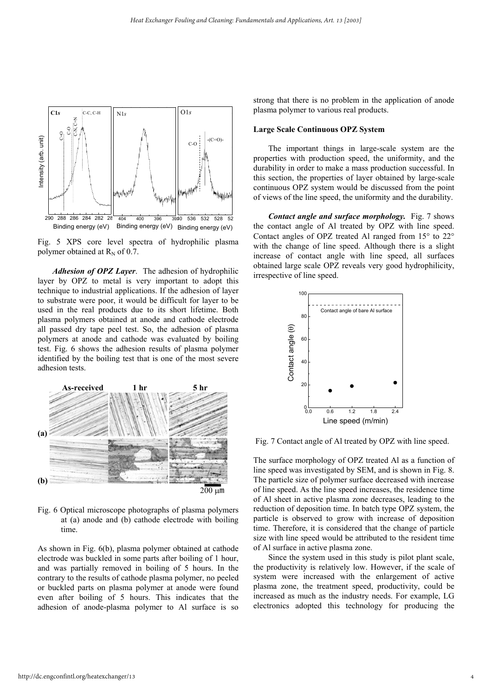

Fig. 5 XPS core level spectra of hydrophilic plasma polymer obtained at  $R_N$  of 0.7.

*Adhesion of OPZ Layer*. The adhesion of hydrophilic layer by OPZ to metal is very important to adopt this technique to industrial applications. If the adhesion of layer to substrate were poor, it would be difficult for layer to be used in the real products due to its short lifetime. Both plasma polymers obtained at anode and cathode electrode all passed dry tape peel test. So, the adhesion of plasma polymers at anode and cathode was evaluated by boiling test. Fig. 6 shows the adhesion results of plasma polymer identified by the boiling test that is one of the most severe adhesion tests.



Fig. 6 Optical microscope photographs of plasma polymers at (a) anode and (b) cathode electrode with boiling time.

As shown in Fig. 6(b), plasma polymer obtained at cathode electrode was buckled in some parts after boiling of 1 hour, and was partially removed in boiling of 5 hours. In the contrary to the results of cathode plasma polymer, no peeled or buckled parts on plasma polymer at anode were found even after boiling of 5 hours. This indicates that the adhesion of anode-plasma polymer to Al surface is so

strong that there is no problem in the application of anode plasma polymer to various real products.

#### **Large Scale Continuous OPZ System**

The important things in large-scale system are the properties with production speed, the uniformity, and the durability in order to make a mass production successful. In this section, the properties of layer obtained by large-scale continuous OPZ system would be discussed from the point of views of the line speed, the uniformity and the durability.

*Contact angle and surface morphology.* Fig. 7 shows the contact angle of Al treated by OPZ with line speed. Contact angles of OPZ treated Al ranged from 15° to 22° with the change of line speed. Although there is a slight increase of contact angle with line speed, all surfaces obtained large scale OPZ reveals very good hydrophilicity, irrespective of line speed.



Fig. 7 Contact angle of Al treated by OPZ with line speed.

The surface morphology of OPZ treated Al as a function of line speed was investigated by SEM, and is shown in Fig. 8. The particle size of polymer surface decreased with increase of line speed. As the line speed increases, the residence time of Al sheet in active plasma zone decreases, leading to the reduction of deposition time. In batch type OPZ system, the particle is observed to grow with increase of deposition time. Therefore, it is considered that the change of particle size with line speed would be attributed to the resident time of Al surface in active plasma zone.

Since the system used in this study is pilot plant scale, the productivity is relatively low. However, if the scale of system were increased with the enlargement of active plasma zone, the treatment speed, productivity, could be increased as much as the industry needs. For example, LG electronics adopted this technology for producing the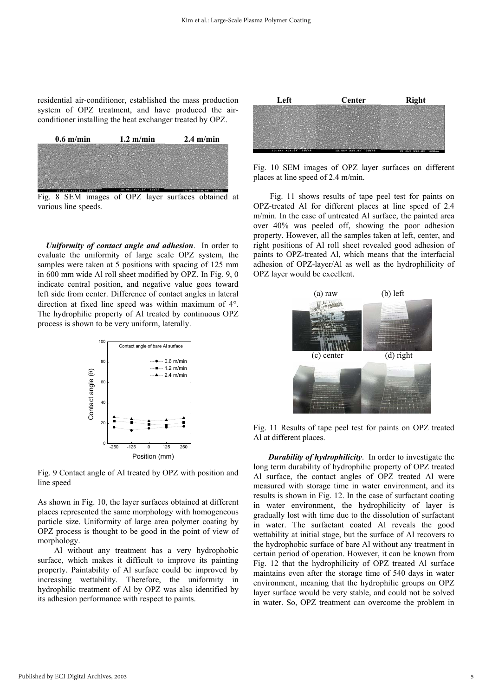residential air-conditioner, established the mass production system of OPZ treatment, and have produced the airconditioner installing the heat exchanger treated by OPZ.



Fig. 8 SEM images of OPZ layer surfaces obtained at various line speeds.

*Uniformity of contact angle and adhesion*. In order to evaluate the uniformity of large scale OPZ system, the samples were taken at 5 positions with spacing of 125 mm in 600 mm wide Al roll sheet modified by OPZ. In Fig. 9, 0 indicate central position, and negative value goes toward left side from center. Difference of contact angles in lateral direction at fixed line speed was within maximum of 4°. The hydrophilic property of Al treated by continuous OPZ process is shown to be very uniform, laterally.



Fig. 9 Contact angle of Al treated by OPZ with position and line speed

As shown in Fig. 10, the layer surfaces obtained at different places represented the same morphology with homogeneous particle size. Uniformity of large area polymer coating by OPZ process is thought to be good in the point of view of morphology.

Al without any treatment has a very hydrophobic surface, which makes it difficult to improve its painting property. Paintability of Al surface could be improved by increasing wettability. Therefore, the uniformity in hydrophilic treatment of Al by OPZ was also identified by its adhesion performance with respect to paints.



Fig. 10 SEM images of OPZ layer surfaces on different places at line speed of 2.4 m/min.

Fig. 11 shows results of tape peel test for paints on OPZ-treated Al for different places at line speed of 2.4 m/min. In the case of untreated Al surface, the painted area over 40% was peeled off, showing the poor adhesion property. However, all the samples taken at left, center, and right positions of Al roll sheet revealed good adhesion of paints to OPZ-treated Al, which means that the interfacial adhesion of OPZ-layer/Al as well as the hydrophilicity of OPZ layer would be excellent.



Fig. 11 Results of tape peel test for paints on OPZ treated Al at different places.

*Durability of hydrophilicity*. In order to investigate the long term durability of hydrophilic property of OPZ treated Al surface, the contact angles of OPZ treated Al were measured with storage time in water environment, and its results is shown in Fig. 12. In the case of surfactant coating in water environment, the hydrophilicity of layer is gradually lost with time due to the dissolution of surfactant in water. The surfactant coated Al reveals the good wettability at initial stage, but the surface of Al recovers to the hydrophobic surface of bare Al without any treatment in certain period of operation. However, it can be known from Fig. 12 that the hydrophilicity of OPZ treated Al surface maintains even after the storage time of 540 days in water environment, meaning that the hydrophilic groups on OPZ layer surface would be very stable, and could not be solved in water. So, OPZ treatment can overcome the problem in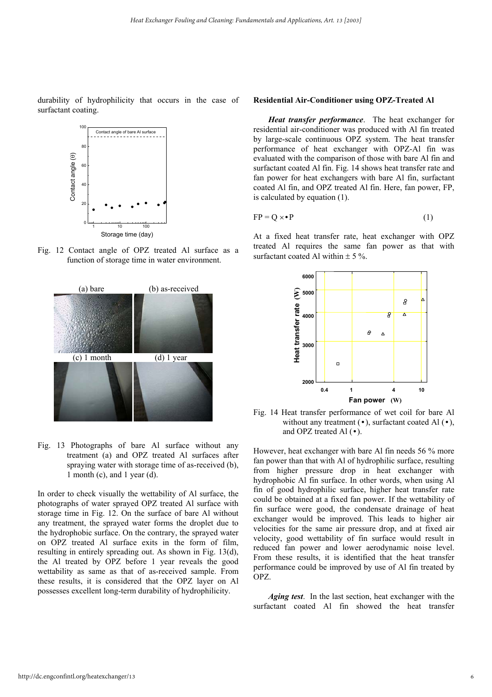durability of hydrophilicity that occurs in the case of surfactant coating.



Fig. 12 Contact angle of OPZ treated Al surface as a function of storage time in water environment.



Fig. 13 Photographs of bare Al surface without any treatment (a) and OPZ treated Al surfaces after spraying water with storage time of as-received (b), 1 month (c), and 1 year (d).

In order to check visually the wettability of Al surface, the photographs of water sprayed OPZ treated Al surface with storage time in Fig. 12. On the surface of bare Al without any treatment, the sprayed water forms the droplet due to the hydrophobic surface. On the contrary, the sprayed water on OPZ treated Al surface exits in the form of film, resulting in entirely spreading out. As shown in Fig. 13(d), the Al treated by OPZ before 1 year reveals the good wettability as same as that of as-received sample. From these results, it is considered that the OPZ layer on Al possesses excellent long-term durability of hydrophilicity.

#### **Residential Air-Conditioner using OPZ-Treated Al**

*Heat transfer performance*. The heat exchanger for residential air-conditioner was produced with Al fin treated by large-scale continuous OPZ system. The heat transfer performance of heat exchanger with OPZ-Al fin was evaluated with the comparison of those with bare Al fin and surfactant coated Al fin. Fig. 14 shows heat transfer rate and fan power for heat exchangers with bare Al fin, surfactant coated Al fin, and OPZ treated Al fin. Here, fan power, FP, is calculated by equation (1).

$$
FP = Q \times \bullet P \tag{1}
$$

At a fixed heat transfer rate, heat exchanger with OPZ treated Al requires the same fan power as that with surfactant coated Al within  $\pm$  5 %.



Fig. 14 Heat transfer performance of wet coil for bare Al without any treatment  $(\bullet)$ , surfactant coated Al  $(\bullet)$ , and OPZ treated Al (•).

However, heat exchanger with bare Al fin needs 56 % more fan power than that with Al of hydrophilic surface, resulting from higher pressure drop in heat exchanger with hydrophobic Al fin surface. In other words, when using Al fin of good hydrophilic surface, higher heat transfer rate could be obtained at a fixed fan power. If the wettability of fin surface were good, the condensate drainage of heat exchanger would be improved. This leads to higher air velocities for the same air pressure drop, and at fixed air velocity, good wettability of fin surface would result in reduced fan power and lower aerodynamic noise level. From these results, it is identified that the heat transfer performance could be improved by use of Al fin treated by OPZ.

*Aging test*. In the last section, heat exchanger with the surfactant coated Al fin showed the heat transfer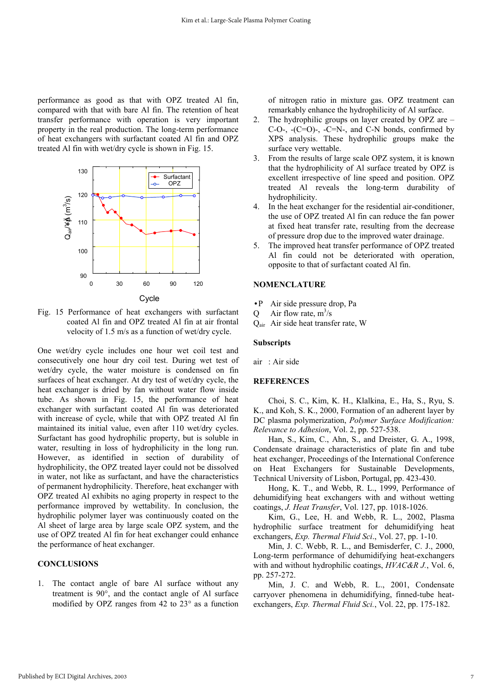performance as good as that with OPZ treated Al fin, compared with that with bare Al fin. The retention of heat transfer performance with operation is very important property in the real production. The long-term performance of heat exchangers with surfactant coated Al fin and OPZ treated Al fin with wet/dry cycle is shown in Fig. 15.



Fig. 15 Performance of heat exchangers with surfactant coated Al fin and OPZ treated Al fin at air frontal velocity of 1.5 m/s as a function of wet/dry cycle.

One wet/dry cycle includes one hour wet coil test and consecutively one hour dry coil test. During wet test of wet/dry cycle, the water moisture is condensed on fin surfaces of heat exchanger. At dry test of wet/dry cycle, the heat exchanger is dried by fan without water flow inside tube. As shown in Fig. 15, the performance of heat exchanger with surfactant coated Al fin was deteriorated with increase of cycle, while that with OPZ treated Al fin maintained its initial value, even after 110 wet/dry cycles. Surfactant has good hydrophilic property, but is soluble in water, resulting in loss of hydrophilicity in the long run. However, as identified in section of durability of hydrophilicity, the OPZ treated layer could not be dissolved in water, not like as surfactant, and have the characteristics of permanent hydrophilicity. Therefore, heat exchanger with OPZ treated Al exhibits no aging property in respect to the performance improved by wettability. In conclusion, the hydrophilic polymer layer was continuously coated on the Al sheet of large area by large scale OPZ system, and the use of OPZ treated Al fin for heat exchanger could enhance the performance of heat exchanger.

#### **CONCLUSIONS**

1. The contact angle of bare Al surface without any treatment is 90°, and the contact angle of Al surface modified by OPZ ranges from 42 to 23° as a function

of nitrogen ratio in mixture gas. OPZ treatment can remarkably enhance the hydrophilicity of Al surface.

- 2. The hydrophilic groups on layer created by OPZ are  $C-O-$ ,  $-C=O$ )-,  $-C=N-$ , and  $C-N$  bonds, confirmed by XPS analysis. These hydrophilic groups make the surface very wettable.
- 3. From the results of large scale OPZ system, it is known that the hydrophilicity of Al surface treated by OPZ is excellent irrespective of line speed and position. OPZ treated Al reveals the long-term durability of hydrophilicity.
- 4. In the heat exchanger for the residential air-conditioner, the use of OPZ treated Al fin can reduce the fan power at fixed heat transfer rate, resulting from the decrease of pressure drop due to the improved water drainage.
- 5. The improved heat transfer performance of OPZ treated Al fin could not be deteriorated with operation, opposite to that of surfactant coated Al fin.

#### **NOMENCLATURE**

- •P Air side pressure drop, Pa
- Q Air flow rate,  $m^3/s$
- Qair Air side heat transfer rate, W

#### **Subscripts**

air : Air side

#### **REFERENCES**

Choi, S. C., Kim, K. H., Klalkina, E., Ha, S., Ryu, S. K., and Koh, S. K., 2000, Formation of an adherent layer by DC plasma polymerization, *Polymer Surface Modification: Relevance to Adhesion*, Vol. 2, pp. 527-538.

Han, S., Kim, C., Ahn, S., and Dreister, G. A., 1998, Condensate drainage characteristics of plate fin and tube heat exchanger, Proceedings of the International Conference on Heat Exchangers for Sustainable Developments, Technical University of Lisbon, Portugal, pp. 423-430.

Hong, K. T., and Webb, R. L., 1999, Performance of dehumidifying heat exchangers with and without wetting coatings, *J. Heat Transfer*, Vol. 127, pp. 1018-1026.

Kim, G., Lee, H. and Webb, R. L., 2002, Plasma hydrophilic surface treatment for dehumidifying heat exchangers, *Exp. Thermal Fluid Sci*., Vol. 27, pp. 1-10.

Min, J. C. Webb, R. L., and Bemisderfer, C. J., 2000, Long-term performance of dehumidifying heat-exchangers with and without hydrophilic coatings, *HVAC&R J.*, Vol. 6, pp. 257-272.

Min, J. C. and Webb, R. L., 2001, Condensate carryover phenomena in dehumidifying, finned-tube heatexchangers, *Exp. Thermal Fluid Sci.*, Vol. 22, pp. 175-182.